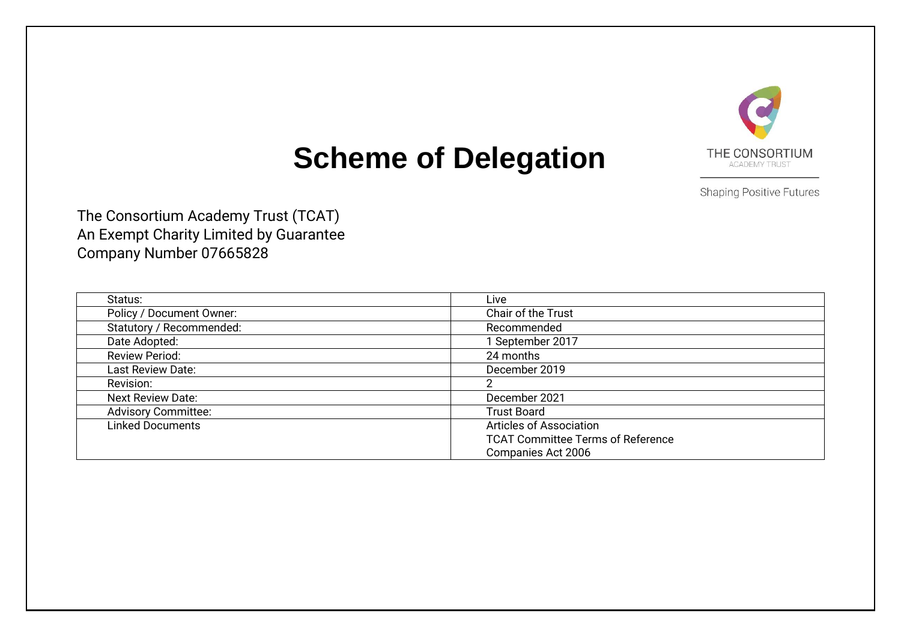

# **Scheme of Delegation**

**Shaping Positive Futures** 

The Consortium Academy Trust (TCAT) An Exempt Charity Limited by Guarantee Company Number 07665828

| Status:                    | Live                                     |
|----------------------------|------------------------------------------|
| Policy / Document Owner:   | Chair of the Trust                       |
| Statutory / Recommended:   | Recommended                              |
| Date Adopted:              | September 2017                           |
| <b>Review Period:</b>      | 24 months                                |
| Last Review Date:          | December 2019                            |
| Revision:                  |                                          |
| <b>Next Review Date:</b>   | December 2021                            |
| <b>Advisory Committee:</b> | <b>Trust Board</b>                       |
| <b>Linked Documents</b>    | <b>Articles of Association</b>           |
|                            | <b>TCAT Committee Terms of Reference</b> |
|                            | Companies Act 2006                       |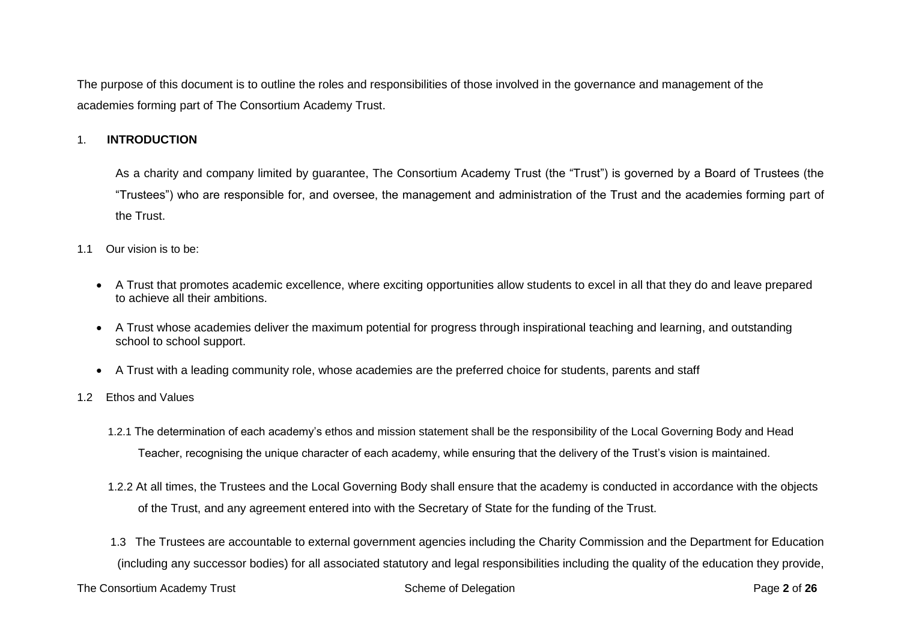The purpose of this document is to outline the roles and responsibilities of those involved in the governance and management of the academies forming part of The Consortium Academy Trust.

# 1. **INTRODUCTION**

As a charity and company limited by guarantee, The Consortium Academy Trust (the "Trust") is governed by a Board of Trustees (the "Trustees") who are responsible for, and oversee, the management and administration of the Trust and the academies forming part of the Trust.

- 1.1 Our vision is to be:
	- A Trust that promotes academic excellence, where exciting opportunities allow students to excel in all that they do and leave prepared to achieve all their ambitions.
	- A Trust whose academies deliver the maximum potential for progress through inspirational teaching and learning, and outstanding school to school support.
	- A Trust with a leading community role, whose academies are the preferred choice for students, parents and staff
- 1.2 Ethos and Values
	- 1.2.1 The determination of each academy's ethos and mission statement shall be the responsibility of the Local Governing Body and Head Teacher, recognising the unique character of each academy, while ensuring that the delivery of the Trust's vision is maintained.
	- 1.2.2 At all times, the Trustees and the Local Governing Body shall ensure that the academy is conducted in accordance with the objects of the Trust, and any agreement entered into with the Secretary of State for the funding of the Trust.
	- 1.3 The Trustees are accountable to external government agencies including the Charity Commission and the Department for Education (including any successor bodies) for all associated statutory and legal responsibilities including the quality of the education they provide,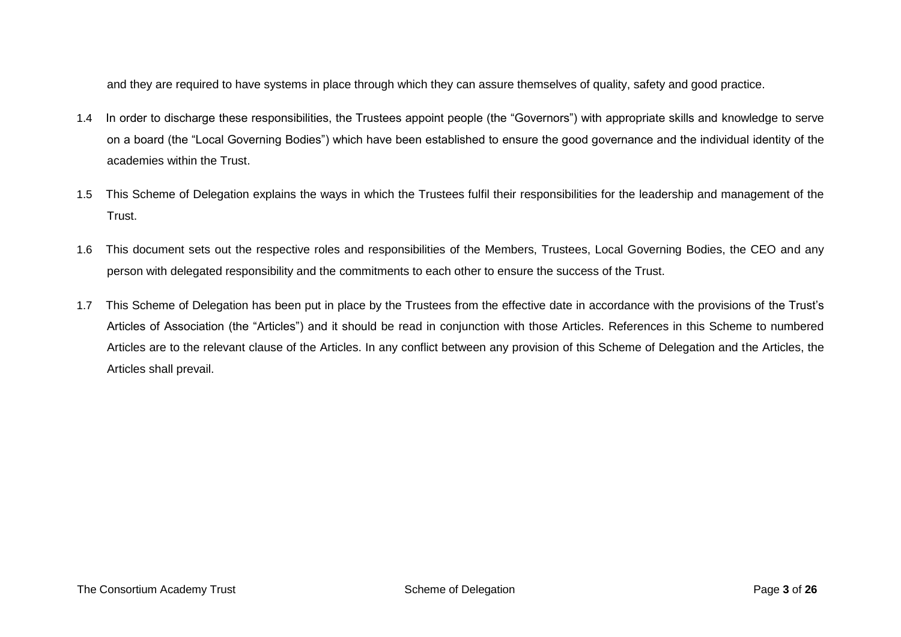and they are required to have systems in place through which they can assure themselves of quality, safety and good practice.

- 1.4 In order to discharge these responsibilities, the Trustees appoint people (the "Governors") with appropriate skills and knowledge to serve on a board (the "Local Governing Bodies") which have been established to ensure the good governance and the individual identity of the academies within the Trust.
- 1.5 This Scheme of Delegation explains the ways in which the Trustees fulfil their responsibilities for the leadership and management of the Trust.
- 1.6 This document sets out the respective roles and responsibilities of the Members, Trustees, Local Governing Bodies, the CEO and any person with delegated responsibility and the commitments to each other to ensure the success of the Trust.
- 1.7 This Scheme of Delegation has been put in place by the Trustees from the effective date in accordance with the provisions of the Trust's Articles of Association (the "Articles") and it should be read in conjunction with those Articles. References in this Scheme to numbered Articles are to the relevant clause of the Articles. In any conflict between any provision of this Scheme of Delegation and the Articles, the Articles shall prevail.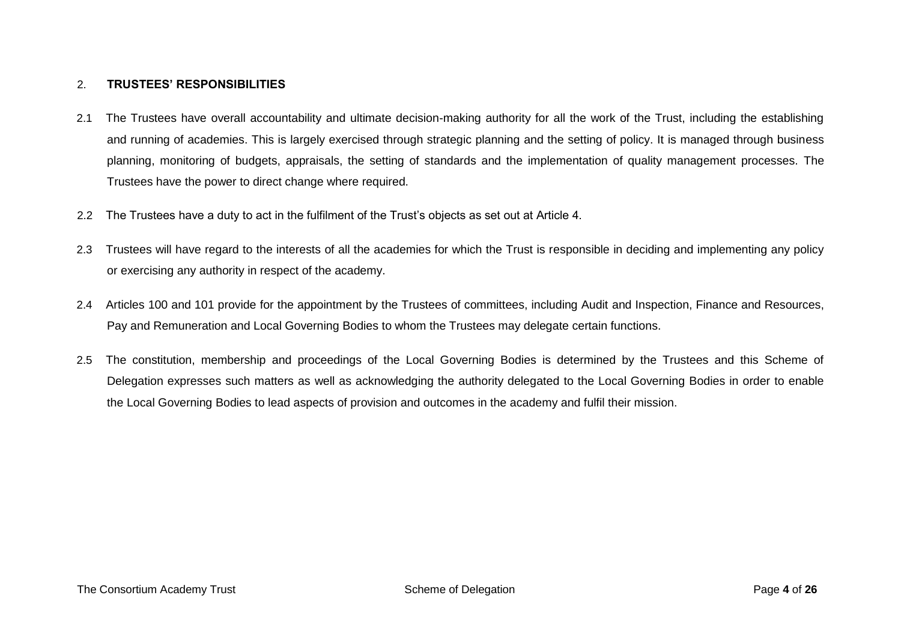# 2. **TRUSTEES' RESPONSIBILITIES**

- 2.1 The Trustees have overall accountability and ultimate decision-making authority for all the work of the Trust, including the establishing and running of academies. This is largely exercised through strategic planning and the setting of policy. It is managed through business planning, monitoring of budgets, appraisals, the setting of standards and the implementation of quality management processes. The Trustees have the power to direct change where required.
- 2.2 The Trustees have a duty to act in the fulfilment of the Trust's objects as set out at Article 4.
- 2.3 Trustees will have regard to the interests of all the academies for which the Trust is responsible in deciding and implementing any policy or exercising any authority in respect of the academy.
- 2.4 Articles 100 and 101 provide for the appointment by the Trustees of committees, including Audit and Inspection, Finance and Resources, Pay and Remuneration and Local Governing Bodies to whom the Trustees may delegate certain functions.
- 2.5 The constitution, membership and proceedings of the Local Governing Bodies is determined by the Trustees and this Scheme of Delegation expresses such matters as well as acknowledging the authority delegated to the Local Governing Bodies in order to enable the Local Governing Bodies to lead aspects of provision and outcomes in the academy and fulfil their mission.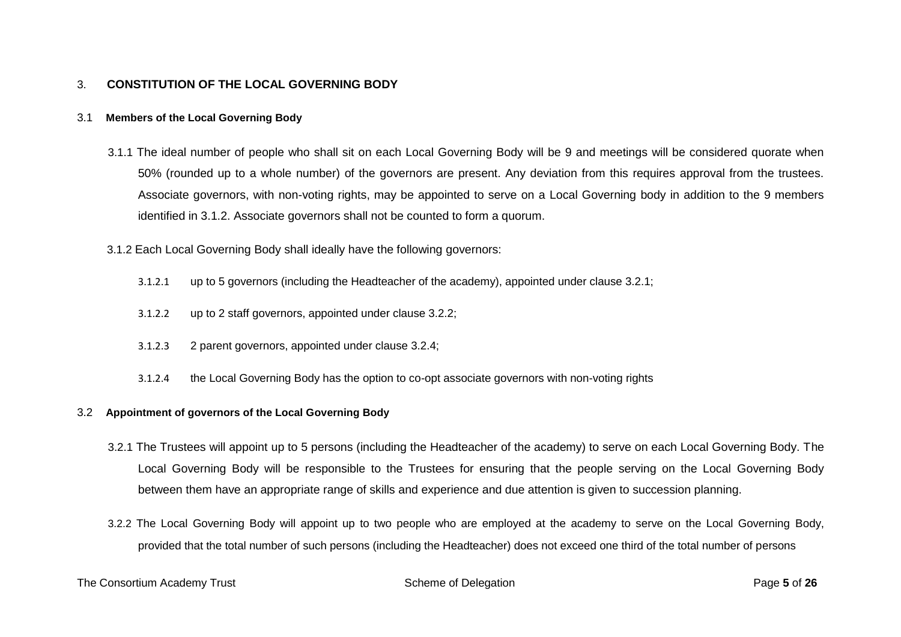# 3. **CONSTITUTION OF THE LOCAL GOVERNING BODY**

## 3.1 **Members of the Local Governing Body**

- 3.1.1 The ideal number of people who shall sit on each Local Governing Body will be 9 and meetings will be considered quorate when 50% (rounded up to a whole number) of the governors are present. Any deviation from this requires approval from the trustees. Associate governors, with non-voting rights, may be appointed to serve on a Local Governing body in addition to the 9 members identified in 3.1.2. Associate governors shall not be counted to form a quorum.
- 3.1.2 Each Local Governing Body shall ideally have the following governors:
	- 3.1.2.1 up to 5 governors (including the Headteacher of the academy), appointed under clause 3.2.1;
	- 3.1.2.2 up to 2 staff governors, appointed under clause 3.2.2;
	- 3.1.2.3 2 parent governors, appointed under clause 3.2.4;
	- 3.1.2.4 the Local Governing Body has the option to co-opt associate governors with non-voting rights

#### 3.2 **Appointment of governors of the Local Governing Body**

- 3.2.1 The Trustees will appoint up to 5 persons (including the Headteacher of the academy) to serve on each Local Governing Body. The Local Governing Body will be responsible to the Trustees for ensuring that the people serving on the Local Governing Body between them have an appropriate range of skills and experience and due attention is given to succession planning.
- 3.2.2 The Local Governing Body will appoint up to two people who are employed at the academy to serve on the Local Governing Body, provided that the total number of such persons (including the Headteacher) does not exceed one third of the total number of persons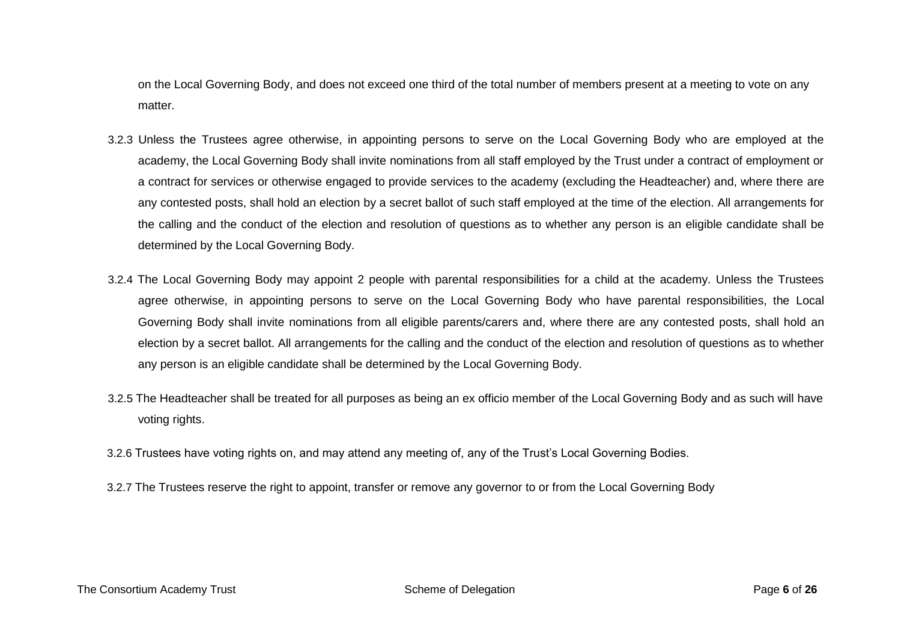on the Local Governing Body, and does not exceed one third of the total number of members present at a meeting to vote on any matter.

- 3.2.3 Unless the Trustees agree otherwise, in appointing persons to serve on the Local Governing Body who are employed at the academy, the Local Governing Body shall invite nominations from all staff employed by the Trust under a contract of employment or a contract for services or otherwise engaged to provide services to the academy (excluding the Headteacher) and, where there are any contested posts, shall hold an election by a secret ballot of such staff employed at the time of the election. All arrangements for the calling and the conduct of the election and resolution of questions as to whether any person is an eligible candidate shall be determined by the Local Governing Body.
- 3.2.4 The Local Governing Body may appoint 2 people with parental responsibilities for a child at the academy. Unless the Trustees agree otherwise, in appointing persons to serve on the Local Governing Body who have parental responsibilities, the Local Governing Body shall invite nominations from all eligible parents/carers and, where there are any contested posts, shall hold an election by a secret ballot. All arrangements for the calling and the conduct of the election and resolution of questions as to whether any person is an eligible candidate shall be determined by the Local Governing Body.
- 3.2.5 The Headteacher shall be treated for all purposes as being an ex officio member of the Local Governing Body and as such will have voting rights.
- 3.2.6 Trustees have voting rights on, and may attend any meeting of, any of the Trust's Local Governing Bodies.
- 3.2.7 The Trustees reserve the right to appoint, transfer or remove any governor to or from the Local Governing Body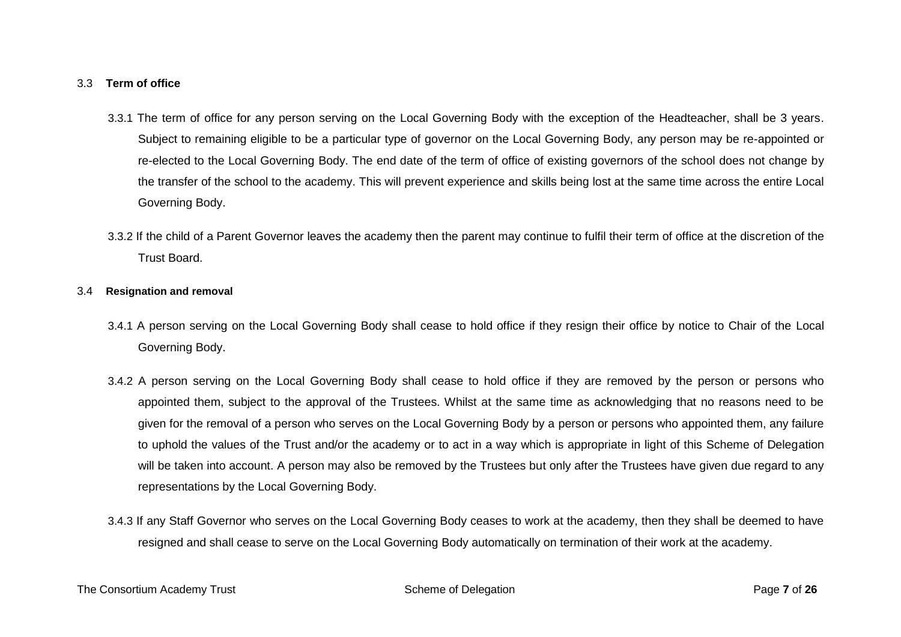## 3.3 **Term of office**

- 3.3.1 The term of office for any person serving on the Local Governing Body with the exception of the Headteacher, shall be 3 years. Subject to remaining eligible to be a particular type of governor on the Local Governing Body, any person may be re-appointed or re-elected to the Local Governing Body. The end date of the term of office of existing governors of the school does not change by the transfer of the school to the academy. This will prevent experience and skills being lost at the same time across the entire Local Governing Body.
- 3.3.2 If the child of a Parent Governor leaves the academy then the parent may continue to fulfil their term of office at the discretion of the Trust Board.

## 3.4 **Resignation and removal**

- 3.4.1 A person serving on the Local Governing Body shall cease to hold office if they resign their office by notice to Chair of the Local Governing Body.
- 3.4.2 A person serving on the Local Governing Body shall cease to hold office if they are removed by the person or persons who appointed them, subject to the approval of the Trustees. Whilst at the same time as acknowledging that no reasons need to be given for the removal of a person who serves on the Local Governing Body by a person or persons who appointed them, any failure to uphold the values of the Trust and/or the academy or to act in a way which is appropriate in light of this Scheme of Delegation will be taken into account. A person may also be removed by the Trustees but only after the Trustees have given due regard to any representations by the Local Governing Body.
- 3.4.3 If any Staff Governor who serves on the Local Governing Body ceases to work at the academy, then they shall be deemed to have resigned and shall cease to serve on the Local Governing Body automatically on termination of their work at the academy.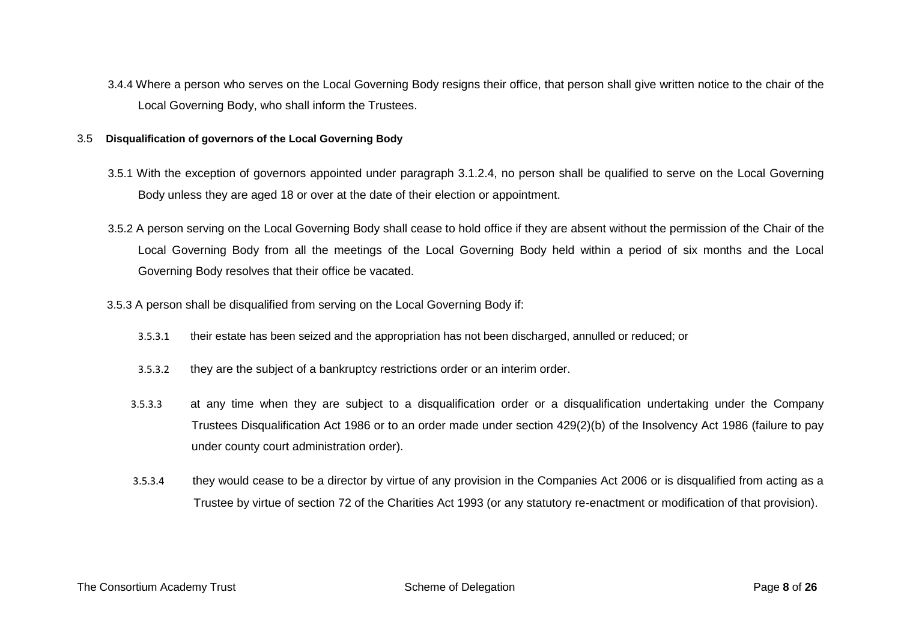3.4.4 Where a person who serves on the Local Governing Body resigns their office, that person shall give written notice to the chair of the Local Governing Body, who shall inform the Trustees.

## 3.5 **Disqualification of governors of the Local Governing Body**

- 3.5.1 With the exception of governors appointed under paragraph 3.1.2.4, no person shall be qualified to serve on the Local Governing Body unless they are aged 18 or over at the date of their election or appointment.
- 3.5.2 A person serving on the Local Governing Body shall cease to hold office if they are absent without the permission of the Chair of the Local Governing Body from all the meetings of the Local Governing Body held within a period of six months and the Local Governing Body resolves that their office be vacated.
- 3.5.3 A person shall be disqualified from serving on the Local Governing Body if:
	- 3.5.3.1 their estate has been seized and the appropriation has not been discharged, annulled or reduced; or
	- 3.5.3.2 they are the subject of a bankruptcy restrictions order or an interim order.
	- 3.5.3.3 at any time when they are subject to a disqualification order or a disqualification undertaking under the Company Trustees Disqualification Act 1986 or to an order made under section 429(2)(b) of the Insolvency Act 1986 (failure to pay under county court administration order).
	- 3.5.3.4 they would cease to be a director by virtue of any provision in the Companies Act 2006 or is disqualified from acting as a Trustee by virtue of section 72 of the Charities Act 1993 (or any statutory re-enactment or modification of that provision).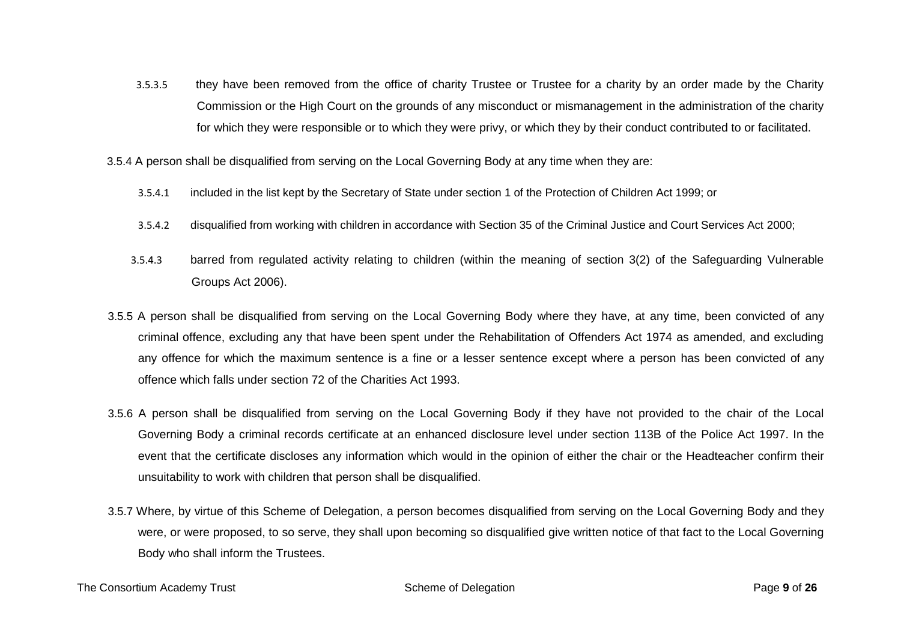3.5.3.5 they have been removed from the office of charity Trustee or Trustee for a charity by an order made by the Charity Commission or the High Court on the grounds of any misconduct or mismanagement in the administration of the charity for which they were responsible or to which they were privy, or which they by their conduct contributed to or facilitated.

3.5.4 A person shall be disqualified from serving on the Local Governing Body at any time when they are:

- 3.5.4.1 included in the list kept by the Secretary of State under section 1 of the Protection of Children Act 1999; or
- 3.5.4.2 disqualified from working with children in accordance with Section 35 of the Criminal Justice and Court Services Act 2000;
- 3.5.4.3 barred from regulated activity relating to children (within the meaning of section 3(2) of the Safeguarding Vulnerable Groups Act 2006).
- 3.5.5 A person shall be disqualified from serving on the Local Governing Body where they have, at any time, been convicted of any criminal offence, excluding any that have been spent under the Rehabilitation of Offenders Act 1974 as amended, and excluding any offence for which the maximum sentence is a fine or a lesser sentence except where a person has been convicted of any offence which falls under section 72 of the Charities Act 1993.
- 3.5.6 A person shall be disqualified from serving on the Local Governing Body if they have not provided to the chair of the Local Governing Body a criminal records certificate at an enhanced disclosure level under section 113B of the Police Act 1997. In the event that the certificate discloses any information which would in the opinion of either the chair or the Headteacher confirm their unsuitability to work with children that person shall be disqualified.
- 3.5.7 Where, by virtue of this Scheme of Delegation, a person becomes disqualified from serving on the Local Governing Body and they were, or were proposed, to so serve, they shall upon becoming so disqualified give written notice of that fact to the Local Governing Body who shall inform the Trustees.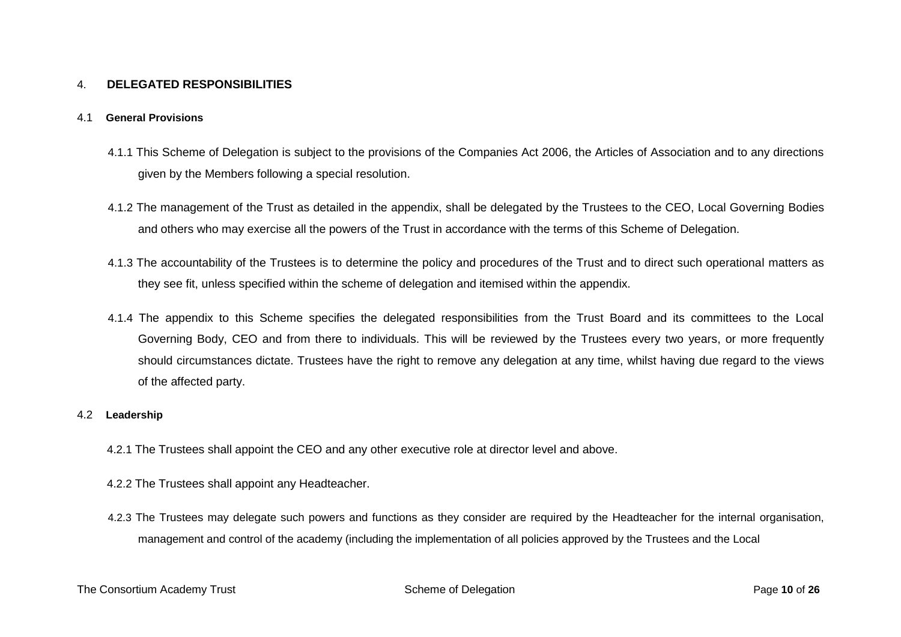# 4. **DELEGATED RESPONSIBILITIES**

#### 4.1 **General Provisions**

- 4.1.1 This Scheme of Delegation is subject to the provisions of the Companies Act 2006, the Articles of Association and to any directions given by the Members following a special resolution.
- 4.1.2 The management of the Trust as detailed in the appendix, shall be delegated by the Trustees to the CEO, Local Governing Bodies and others who may exercise all the powers of the Trust in accordance with the terms of this Scheme of Delegation.
- 4.1.3 The accountability of the Trustees is to determine the policy and procedures of the Trust and to direct such operational matters as they see fit, unless specified within the scheme of delegation and itemised within the appendix.
- 4.1.4 The appendix to this Scheme specifies the delegated responsibilities from the Trust Board and its committees to the Local Governing Body, CEO and from there to individuals. This will be reviewed by the Trustees every two years, or more frequently should circumstances dictate. Trustees have the right to remove any delegation at any time, whilst having due regard to the views of the affected party.

#### 4.2 **Leadership**

- 4.2.1 The Trustees shall appoint the CEO and any other executive role at director level and above.
- 4.2.2 The Trustees shall appoint any Headteacher.
- 4.2.3 The Trustees may delegate such powers and functions as they consider are required by the Headteacher for the internal organisation, management and control of the academy (including the implementation of all policies approved by the Trustees and the Local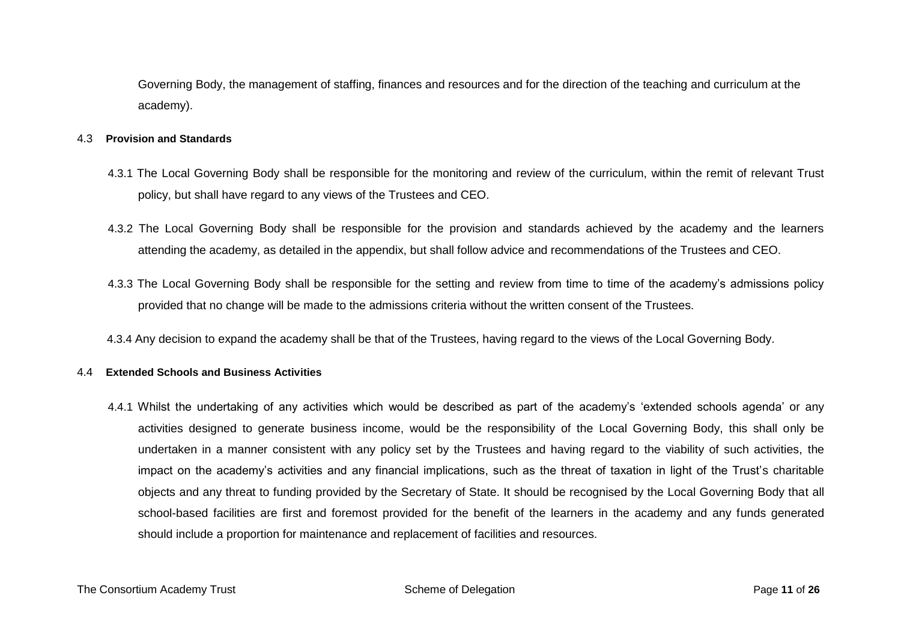Governing Body, the management of staffing, finances and resources and for the direction of the teaching and curriculum at the academy).

#### 4.3 **Provision and Standards**

- 4.3.1 The Local Governing Body shall be responsible for the monitoring and review of the curriculum, within the remit of relevant Trust policy, but shall have regard to any views of the Trustees and CEO.
- 4.3.2 The Local Governing Body shall be responsible for the provision and standards achieved by the academy and the learners attending the academy, as detailed in the appendix, but shall follow advice and recommendations of the Trustees and CEO.
- 4.3.3 The Local Governing Body shall be responsible for the setting and review from time to time of the academy's admissions policy provided that no change will be made to the admissions criteria without the written consent of the Trustees.
- 4.3.4 Any decision to expand the academy shall be that of the Trustees, having regard to the views of the Local Governing Body.

## 4.4 **Extended Schools and Business Activities**

4.4.1 Whilst the undertaking of any activities which would be described as part of the academy's 'extended schools agenda' or any activities designed to generate business income, would be the responsibility of the Local Governing Body, this shall only be undertaken in a manner consistent with any policy set by the Trustees and having regard to the viability of such activities, the impact on the academy's activities and any financial implications, such as the threat of taxation in light of the Trust's charitable objects and any threat to funding provided by the Secretary of State. It should be recognised by the Local Governing Body that all school-based facilities are first and foremost provided for the benefit of the learners in the academy and any funds generated should include a proportion for maintenance and replacement of facilities and resources.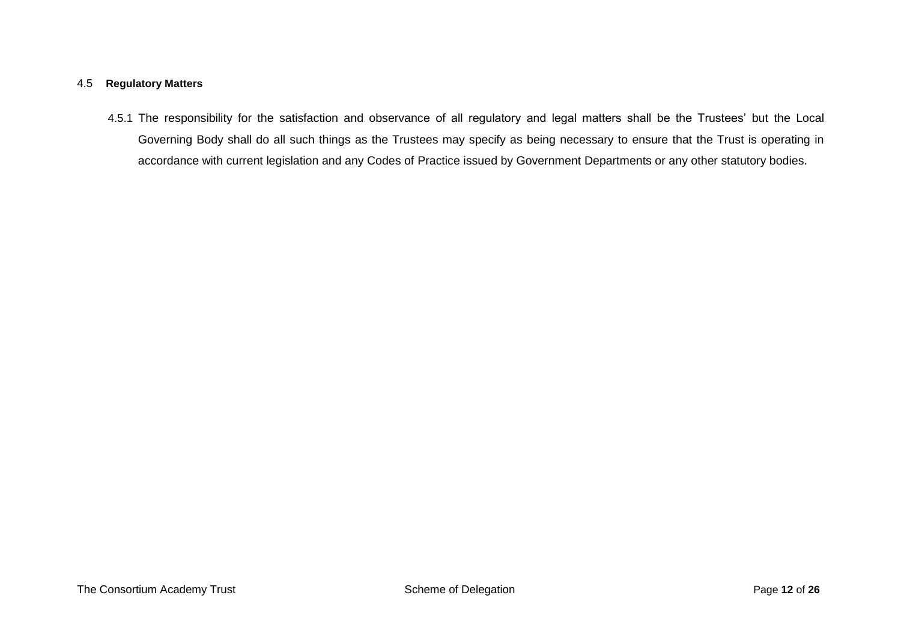# 4.5 **Regulatory Matters**

4.5.1 The responsibility for the satisfaction and observance of all regulatory and legal matters shall be the Trustees' but the Local Governing Body shall do all such things as the Trustees may specify as being necessary to ensure that the Trust is operating in accordance with current legislation and any Codes of Practice issued by Government Departments or any other statutory bodies.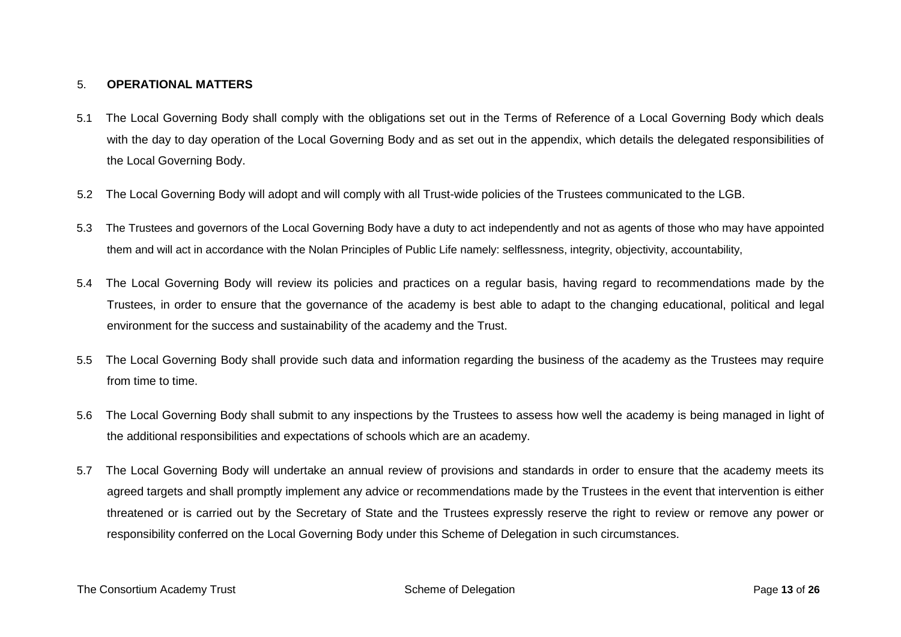# 5. **OPERATIONAL MATTERS**

- 5.1 The Local Governing Body shall comply with the obligations set out in the Terms of Reference of a Local Governing Body which deals with the day to day operation of the Local Governing Body and as set out in the appendix, which details the delegated responsibilities of the Local Governing Body.
- 5.2 The Local Governing Body will adopt and will comply with all Trust-wide policies of the Trustees communicated to the LGB.
- 5.3 The Trustees and governors of the Local Governing Body have a duty to act independently and not as agents of those who may have appointed them and will act in accordance with the Nolan Principles of Public Life namely: selflessness, integrity, objectivity, accountability,
- 5.4 The Local Governing Body will review its policies and practices on a regular basis, having regard to recommendations made by the Trustees, in order to ensure that the governance of the academy is best able to adapt to the changing educational, political and legal environment for the success and sustainability of the academy and the Trust.
- 5.5 The Local Governing Body shall provide such data and information regarding the business of the academy as the Trustees may require from time to time.
- 5.6 The Local Governing Body shall submit to any inspections by the Trustees to assess how well the academy is being managed in light of the additional responsibilities and expectations of schools which are an academy.
- 5.7 The Local Governing Body will undertake an annual review of provisions and standards in order to ensure that the academy meets its agreed targets and shall promptly implement any advice or recommendations made by the Trustees in the event that intervention is either threatened or is carried out by the Secretary of State and the Trustees expressly reserve the right to review or remove any power or responsibility conferred on the Local Governing Body under this Scheme of Delegation in such circumstances.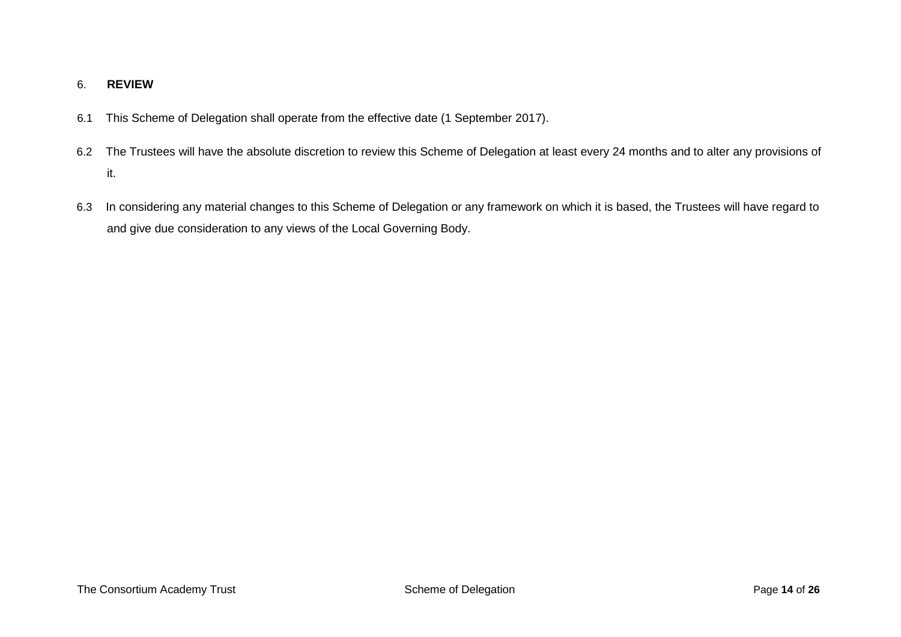# 6. **REVIEW**

- 6.1 This Scheme of Delegation shall operate from the effective date (1 September 2017).
- 6.2 The Trustees will have the absolute discretion to review this Scheme of Delegation at least every 24 months and to alter any provisions of it.
- 6.3 In considering any material changes to this Scheme of Delegation or any framework on which it is based, the Trustees will have regard to and give due consideration to any views of the Local Governing Body.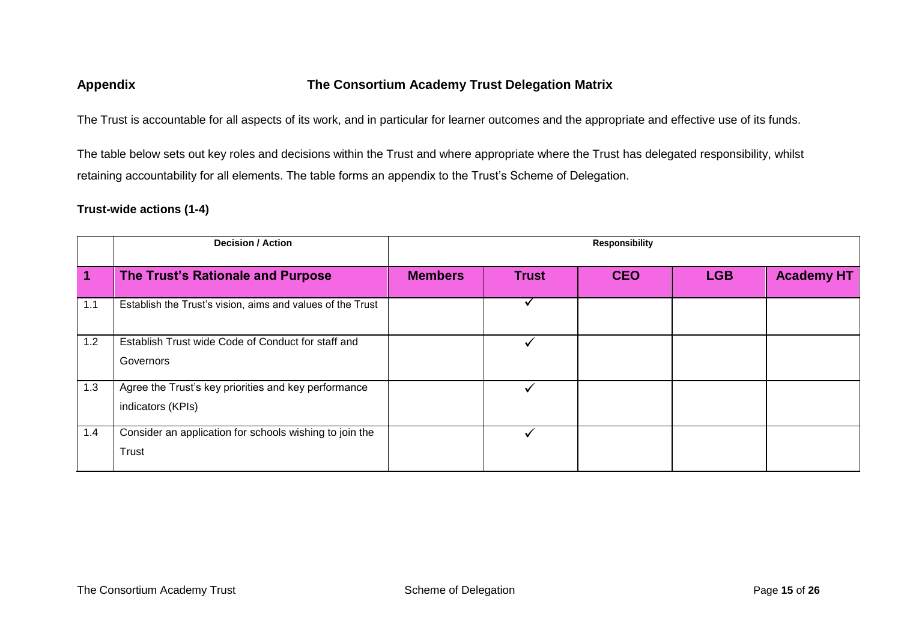# **Appendix The Consortium Academy Trust Delegation Matrix**

The Trust is accountable for all aspects of its work, and in particular for learner outcomes and the appropriate and effective use of its funds.

The table below sets out key roles and decisions within the Trust and where appropriate where the Trust has delegated responsibility, whilst retaining accountability for all elements. The table forms an appendix to the Trust's Scheme of Delegation.

# **Trust-wide actions (1-4)**

|     | <b>Decision / Action</b>                                                  | <b>Responsibility</b> |              |            |            |                   |
|-----|---------------------------------------------------------------------------|-----------------------|--------------|------------|------------|-------------------|
|     | The Trust's Rationale and Purpose                                         | <b>Members</b>        | <b>Trust</b> | <b>CEO</b> | <b>LGB</b> | <b>Academy HT</b> |
| 1.1 | Establish the Trust's vision, aims and values of the Trust                |                       |              |            |            |                   |
| 1.2 | Establish Trust wide Code of Conduct for staff and<br>Governors           |                       |              |            |            |                   |
| 1.3 | Agree the Trust's key priorities and key performance<br>indicators (KPIs) |                       |              |            |            |                   |
| 1.4 | Consider an application for schools wishing to join the<br>Trust          |                       |              |            |            |                   |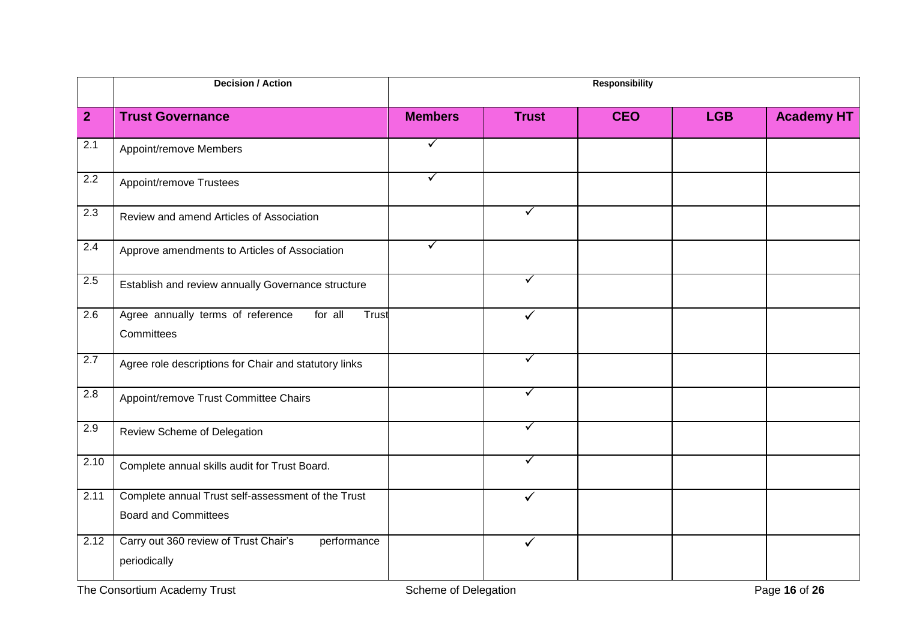|                | <b>Decision / Action</b>                                                          |                |              | <b>Responsibility</b> |            |                   |
|----------------|-----------------------------------------------------------------------------------|----------------|--------------|-----------------------|------------|-------------------|
| 2 <sup>2</sup> | <b>Trust Governance</b>                                                           | <b>Members</b> | <b>Trust</b> | <b>CEO</b>            | <b>LGB</b> | <b>Academy HT</b> |
| 2.1            | Appoint/remove Members                                                            | ✓              |              |                       |            |                   |
| 2.2            | Appoint/remove Trustees                                                           | ✓              |              |                       |            |                   |
| 2.3            | Review and amend Articles of Association                                          |                | ✓            |                       |            |                   |
| 2.4            | Approve amendments to Articles of Association                                     | ✓              |              |                       |            |                   |
| 2.5            | Establish and review annually Governance structure                                |                | ✓            |                       |            |                   |
| 2.6            | Agree annually terms of reference<br>for all<br>Trust<br>Committees               |                | ✓            |                       |            |                   |
| 2.7            | Agree role descriptions for Chair and statutory links                             |                | ✓            |                       |            |                   |
| 2.8            | Appoint/remove Trust Committee Chairs                                             |                | ✓            |                       |            |                   |
| 2.9            | Review Scheme of Delegation                                                       |                | ✓            |                       |            |                   |
| 2.10           | Complete annual skills audit for Trust Board.                                     |                | ✓            |                       |            |                   |
| 2.11           | Complete annual Trust self-assessment of the Trust<br><b>Board and Committees</b> |                | ✓            |                       |            |                   |
| 2.12           | Carry out 360 review of Trust Chair's<br>performance<br>periodically              |                | $\checkmark$ |                       |            |                   |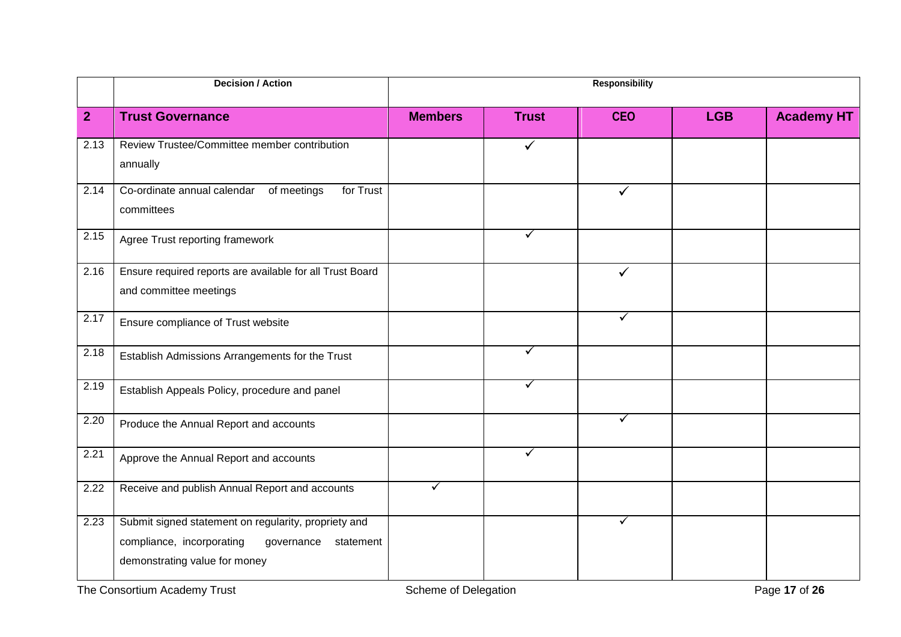|                | <b>Decision / Action</b>                                                                                                                      |                |              | <b>Responsibility</b> |            |                   |
|----------------|-----------------------------------------------------------------------------------------------------------------------------------------------|----------------|--------------|-----------------------|------------|-------------------|
| $\overline{2}$ | <b>Trust Governance</b>                                                                                                                       | <b>Members</b> | <b>Trust</b> | <b>CEO</b>            | <b>LGB</b> | <b>Academy HT</b> |
| 2.13           | Review Trustee/Committee member contribution<br>annually                                                                                      |                | $\checkmark$ |                       |            |                   |
| 2.14           | Co-ordinate annual calendar of meetings<br>for Trust<br>committees                                                                            |                |              | ✓                     |            |                   |
| 2.15           | Agree Trust reporting framework                                                                                                               |                | ✓            |                       |            |                   |
| 2.16           | Ensure required reports are available for all Trust Board<br>and committee meetings                                                           |                |              | ✓                     |            |                   |
| 2.17           | Ensure compliance of Trust website                                                                                                            |                |              | ✓                     |            |                   |
| 2.18           | Establish Admissions Arrangements for the Trust                                                                                               |                | ✓            |                       |            |                   |
| 2.19           | Establish Appeals Policy, procedure and panel                                                                                                 |                | ✓            |                       |            |                   |
| 2.20           | Produce the Annual Report and accounts                                                                                                        |                |              | ✓                     |            |                   |
| 2.21           | Approve the Annual Report and accounts                                                                                                        |                | ✓            |                       |            |                   |
| 2.22           | Receive and publish Annual Report and accounts                                                                                                | $\checkmark$   |              |                       |            |                   |
| 2.23           | Submit signed statement on regularity, propriety and<br>compliance, incorporating<br>governance<br>statement<br>demonstrating value for money |                |              | ✓                     |            |                   |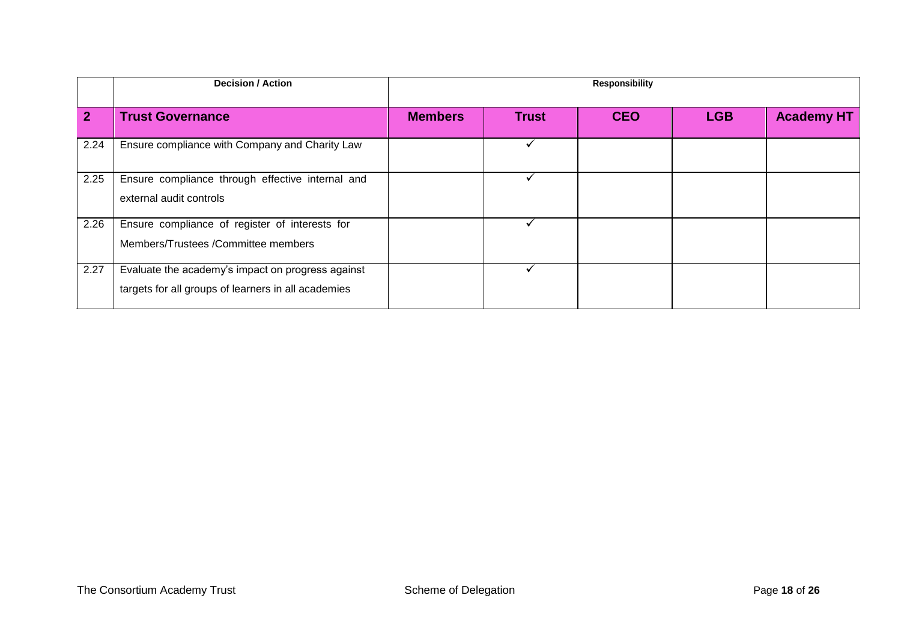|              | <b>Decision / Action</b>                                                                                 | <b>Responsibility</b> |              |            |            |                   |
|--------------|----------------------------------------------------------------------------------------------------------|-----------------------|--------------|------------|------------|-------------------|
| $\mathbf{2}$ | <b>Trust Governance</b>                                                                                  | <b>Members</b>        | <b>Trust</b> | <b>CEO</b> | <b>LGB</b> | <b>Academy HT</b> |
| 2.24         | Ensure compliance with Company and Charity Law                                                           |                       |              |            |            |                   |
| 2.25         | Ensure compliance through effective internal and<br>external audit controls                              |                       |              |            |            |                   |
| 2.26         | Ensure compliance of register of interests for<br>Members/Trustees /Committee members                    |                       |              |            |            |                   |
| 2.27         | Evaluate the academy's impact on progress against<br>targets for all groups of learners in all academies |                       |              |            |            |                   |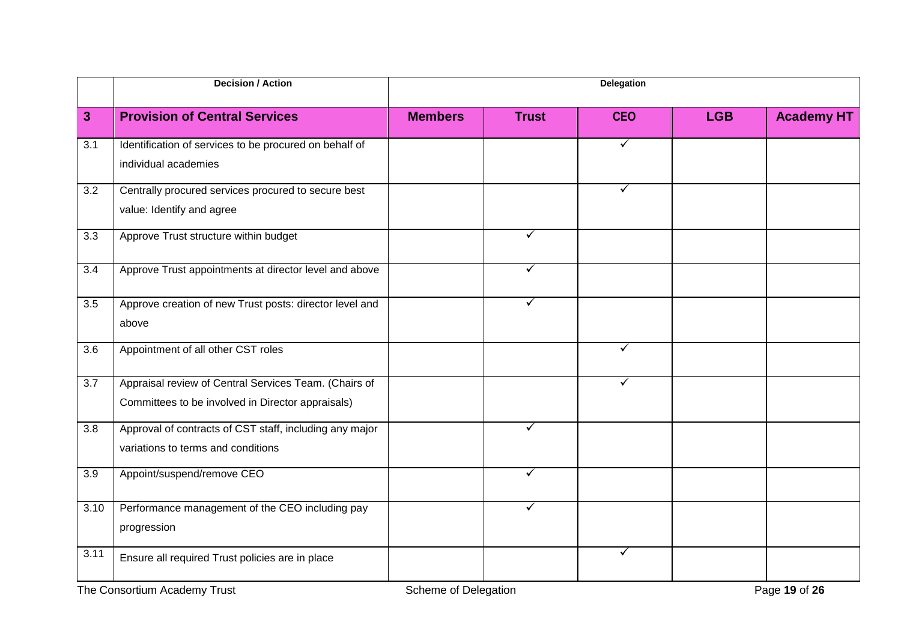|              | <b>Decision / Action</b>                                |                      |              | Delegation   |            |                   |
|--------------|---------------------------------------------------------|----------------------|--------------|--------------|------------|-------------------|
| $\mathbf{3}$ | <b>Provision of Central Services</b>                    | <b>Members</b>       | <b>Trust</b> | <b>CEO</b>   | <b>LGB</b> | <b>Academy HT</b> |
| 3.1          | Identification of services to be procured on behalf of  |                      |              | ✓            |            |                   |
|              | individual academies                                    |                      |              |              |            |                   |
| 3.2          | Centrally procured services procured to secure best     |                      |              | ✓            |            |                   |
|              | value: Identify and agree                               |                      |              |              |            |                   |
| 3.3          | Approve Trust structure within budget                   |                      | $\checkmark$ |              |            |                   |
| 3.4          | Approve Trust appointments at director level and above  |                      | $\checkmark$ |              |            |                   |
| 3.5          | Approve creation of new Trust posts: director level and |                      | $\checkmark$ |              |            |                   |
|              | above                                                   |                      |              |              |            |                   |
| 3.6          | Appointment of all other CST roles                      |                      |              | ✓            |            |                   |
| 3.7          | Appraisal review of Central Services Team. (Chairs of   |                      |              | $\checkmark$ |            |                   |
|              | Committees to be involved in Director appraisals)       |                      |              |              |            |                   |
| 3.8          | Approval of contracts of CST staff, including any major |                      | $\checkmark$ |              |            |                   |
|              | variations to terms and conditions                      |                      |              |              |            |                   |
| 3.9          | Appoint/suspend/remove CEO                              |                      | $\checkmark$ |              |            |                   |
| 3.10         | Performance management of the CEO including pay         |                      | $\checkmark$ |              |            |                   |
|              | progression                                             |                      |              |              |            |                   |
| 3.11         | Ensure all required Trust policies are in place         |                      |              | $\checkmark$ |            |                   |
|              | The Consortium Academy Trust                            | Scheme of Delegation |              |              |            | Page 19 of 26     |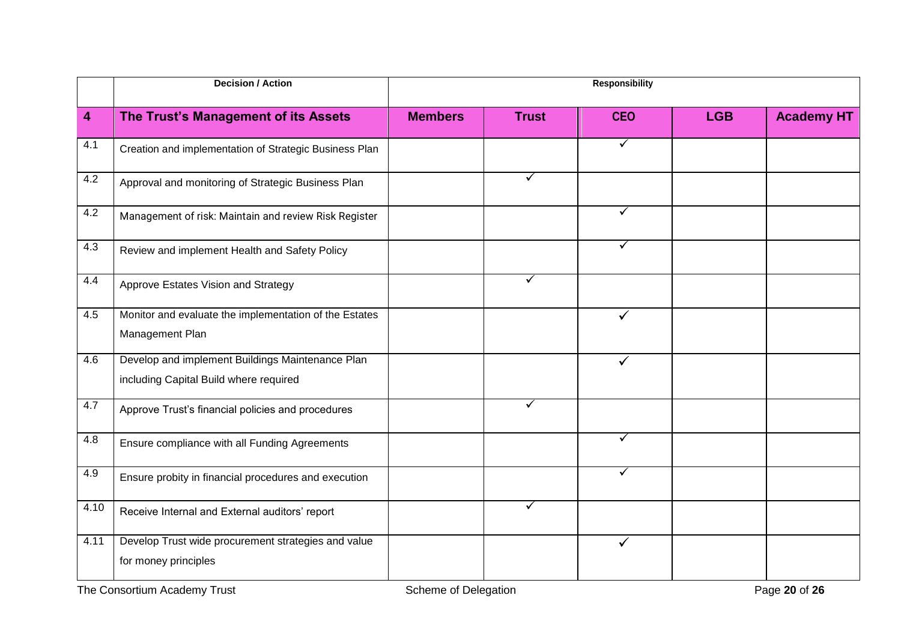|      | <b>Decision / Action</b>                                                                   |                      |              | <b>Responsibility</b> |            |                   |
|------|--------------------------------------------------------------------------------------------|----------------------|--------------|-----------------------|------------|-------------------|
| 4    | The Trust's Management of its Assets                                                       | <b>Members</b>       | <b>Trust</b> | <b>CEO</b>            | <b>LGB</b> | <b>Academy HT</b> |
| 4.1  | Creation and implementation of Strategic Business Plan                                     |                      |              | ✓                     |            |                   |
| 4.2  | Approval and monitoring of Strategic Business Plan                                         |                      | $\checkmark$ |                       |            |                   |
| 4.2  | Management of risk: Maintain and review Risk Register                                      |                      |              | ✓                     |            |                   |
| 4.3  | Review and implement Health and Safety Policy                                              |                      |              | $\checkmark$          |            |                   |
| 4.4  | Approve Estates Vision and Strategy                                                        |                      | $\checkmark$ |                       |            |                   |
| 4.5  | Monitor and evaluate the implementation of the Estates<br>Management Plan                  |                      |              | $\checkmark$          |            |                   |
| 4.6  | Develop and implement Buildings Maintenance Plan<br>including Capital Build where required |                      |              | $\checkmark$          |            |                   |
| 4.7  | Approve Trust's financial policies and procedures                                          |                      | ✓            |                       |            |                   |
| 4.8  | Ensure compliance with all Funding Agreements                                              |                      |              | ✓                     |            |                   |
| 4.9  | Ensure probity in financial procedures and execution                                       |                      |              | ✓                     |            |                   |
| 4.10 | Receive Internal and External auditors' report                                             |                      | $\checkmark$ |                       |            |                   |
| 4.11 | Develop Trust wide procurement strategies and value<br>for money principles                |                      |              | $\checkmark$          |            |                   |
|      | The Consortium Academy Trust                                                               | Scheme of Delegation |              |                       |            | Page 20 of 26     |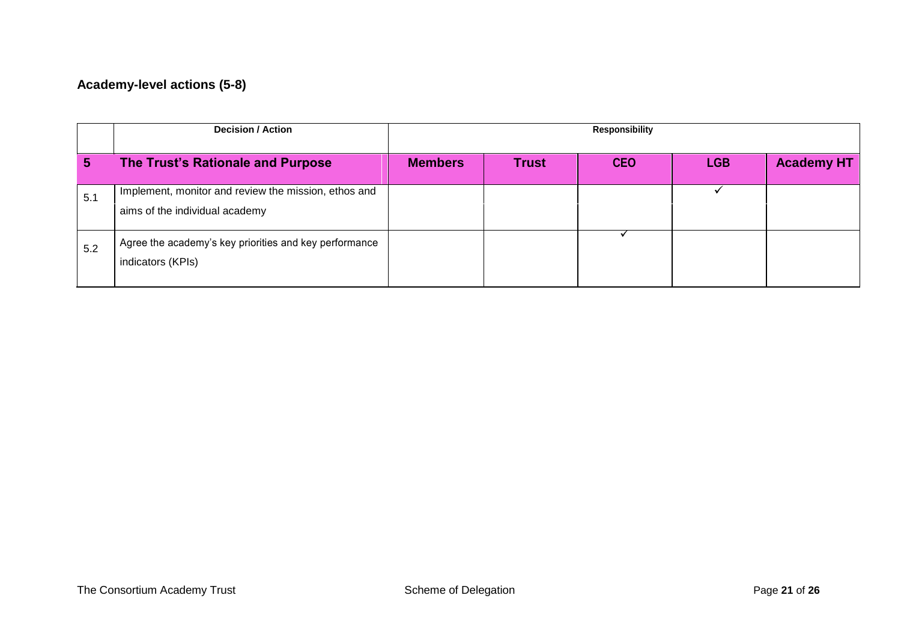# **Academy-level actions (5-8)**

|     | <b>Decision / Action</b>                                                               |                |              | <b>Responsibility</b> |            |                   |
|-----|----------------------------------------------------------------------------------------|----------------|--------------|-----------------------|------------|-------------------|
| 5   | The Trust's Rationale and Purpose                                                      | <b>Members</b> | <b>Trust</b> | <b>CEO</b>            | <b>LGB</b> | <b>Academy HT</b> |
| 5.1 | Implement, monitor and review the mission, ethos and<br>aims of the individual academy |                |              |                       |            |                   |
| 5.2 | Agree the academy's key priorities and key performance<br>indicators (KPIs)            |                |              |                       |            |                   |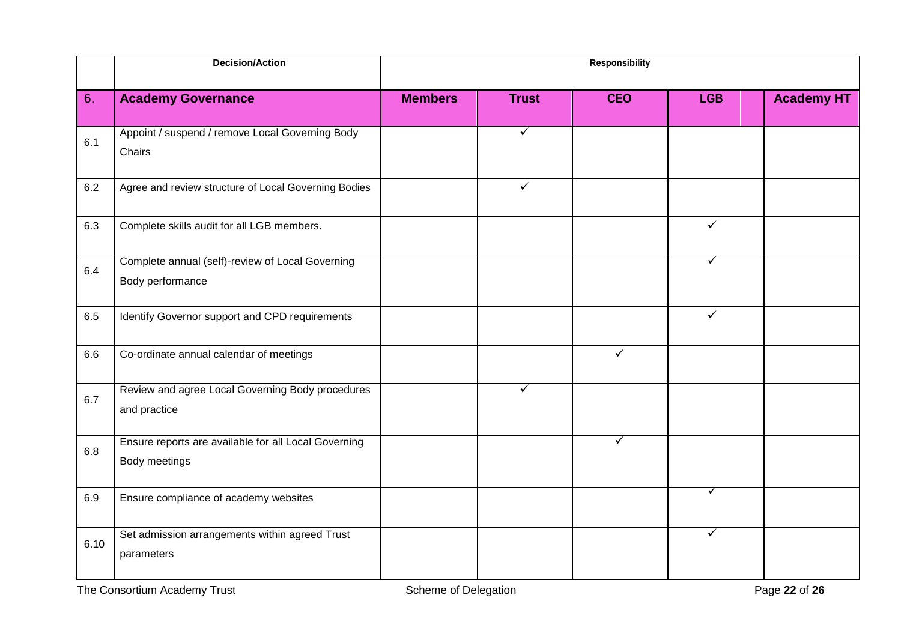|      | <b>Decision/Action</b>                                                |                |              | <b>Responsibility</b> |              |                   |
|------|-----------------------------------------------------------------------|----------------|--------------|-----------------------|--------------|-------------------|
| 6.   | <b>Academy Governance</b>                                             | <b>Members</b> | <b>Trust</b> | <b>CEO</b>            | <b>LGB</b>   | <b>Academy HT</b> |
| 6.1  | Appoint / suspend / remove Local Governing Body<br>Chairs             |                | $\checkmark$ |                       |              |                   |
| 6.2  | Agree and review structure of Local Governing Bodies                  |                | $\checkmark$ |                       |              |                   |
| 6.3  | Complete skills audit for all LGB members.                            |                |              |                       | $\checkmark$ |                   |
| 6.4  | Complete annual (self)-review of Local Governing<br>Body performance  |                |              |                       | ✓            |                   |
| 6.5  | Identify Governor support and CPD requirements                        |                |              |                       | $\checkmark$ |                   |
| 6.6  | Co-ordinate annual calendar of meetings                               |                |              | $\checkmark$          |              |                   |
| 6.7  | Review and agree Local Governing Body procedures<br>and practice      |                | ✓            |                       |              |                   |
| 6.8  | Ensure reports are available for all Local Governing<br>Body meetings |                |              | $\checkmark$          |              |                   |
| 6.9  | Ensure compliance of academy websites                                 |                |              |                       | ✓            |                   |
| 6.10 | Set admission arrangements within agreed Trust<br>parameters          |                |              |                       | $\checkmark$ |                   |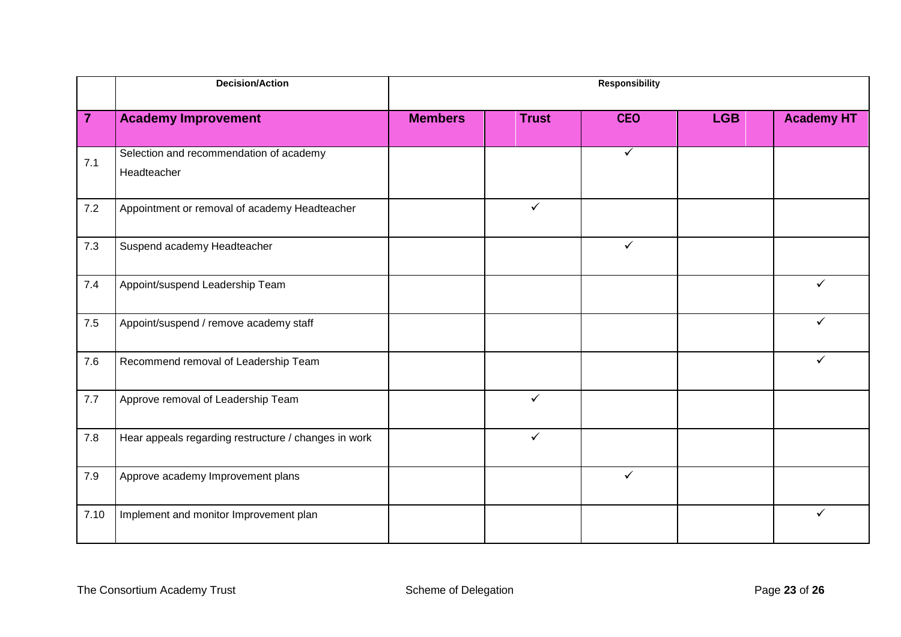|                | <b>Decision/Action</b>                                 | <b>Responsibility</b> |              |              |            |                   |
|----------------|--------------------------------------------------------|-----------------------|--------------|--------------|------------|-------------------|
| $\overline{7}$ | <b>Academy Improvement</b>                             | <b>Members</b>        | <b>Trust</b> | <b>CEO</b>   | <b>LGB</b> | <b>Academy HT</b> |
| 7.1            | Selection and recommendation of academy<br>Headteacher |                       |              | $\checkmark$ |            |                   |
| 7.2            | Appointment or removal of academy Headteacher          |                       | $\checkmark$ |              |            |                   |
| 7.3            | Suspend academy Headteacher                            |                       |              | $\checkmark$ |            |                   |
| 7.4            | Appoint/suspend Leadership Team                        |                       |              |              |            | ✓                 |
| $7.5\,$        | Appoint/suspend / remove academy staff                 |                       |              |              |            | ✓                 |
| 7.6            | Recommend removal of Leadership Team                   |                       |              |              |            | ✓                 |
| 7.7            | Approve removal of Leadership Team                     |                       | $\checkmark$ |              |            |                   |
| 7.8            | Hear appeals regarding restructure / changes in work   |                       | $\checkmark$ |              |            |                   |
| 7.9            | Approve academy Improvement plans                      |                       |              | $\checkmark$ |            |                   |
| 7.10           | Implement and monitor Improvement plan                 |                       |              |              |            | ✓                 |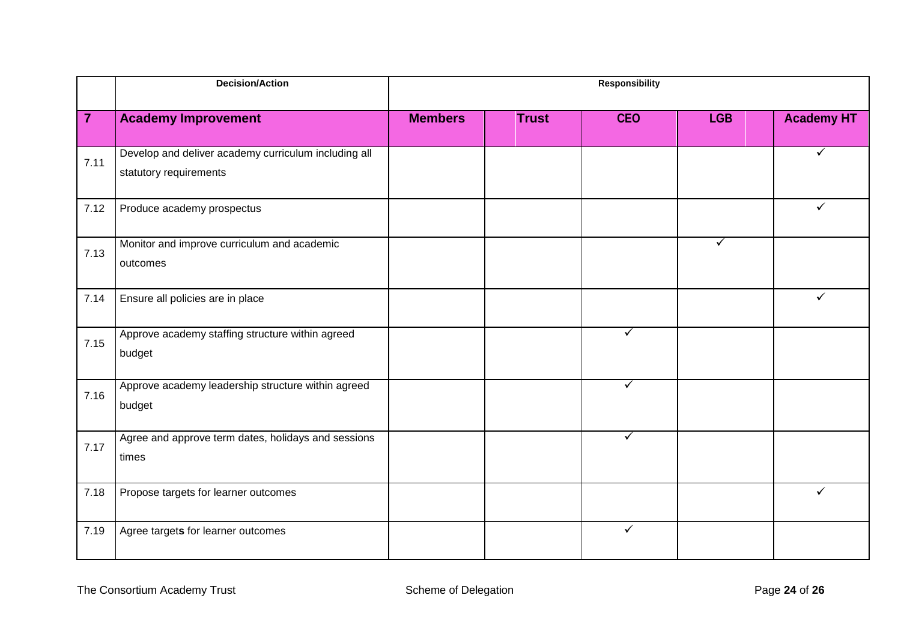|                | <b>Decision/Action</b>                                                         | <b>Responsibility</b> |              |              |              |                   |
|----------------|--------------------------------------------------------------------------------|-----------------------|--------------|--------------|--------------|-------------------|
| $\overline{7}$ | <b>Academy Improvement</b>                                                     | <b>Members</b>        | <b>Trust</b> | <b>CEO</b>   | <b>LGB</b>   | <b>Academy HT</b> |
| 7.11           | Develop and deliver academy curriculum including all<br>statutory requirements |                       |              |              |              | ✓                 |
| 7.12           | Produce academy prospectus                                                     |                       |              |              |              | $\checkmark$      |
| 7.13           | Monitor and improve curriculum and academic<br>outcomes                        |                       |              |              | $\checkmark$ |                   |
| 7.14           | Ensure all policies are in place                                               |                       |              |              |              | $\checkmark$      |
| 7.15           | Approve academy staffing structure within agreed<br>budget                     |                       |              | ✓            |              |                   |
| 7.16           | Approve academy leadership structure within agreed<br>budget                   |                       |              | $\checkmark$ |              |                   |
| 7.17           | Agree and approve term dates, holidays and sessions<br>times                   |                       |              | $\checkmark$ |              |                   |
| 7.18           | Propose targets for learner outcomes                                           |                       |              |              |              | ✓                 |
| 7.19           | Agree targets for learner outcomes                                             |                       |              | $\checkmark$ |              |                   |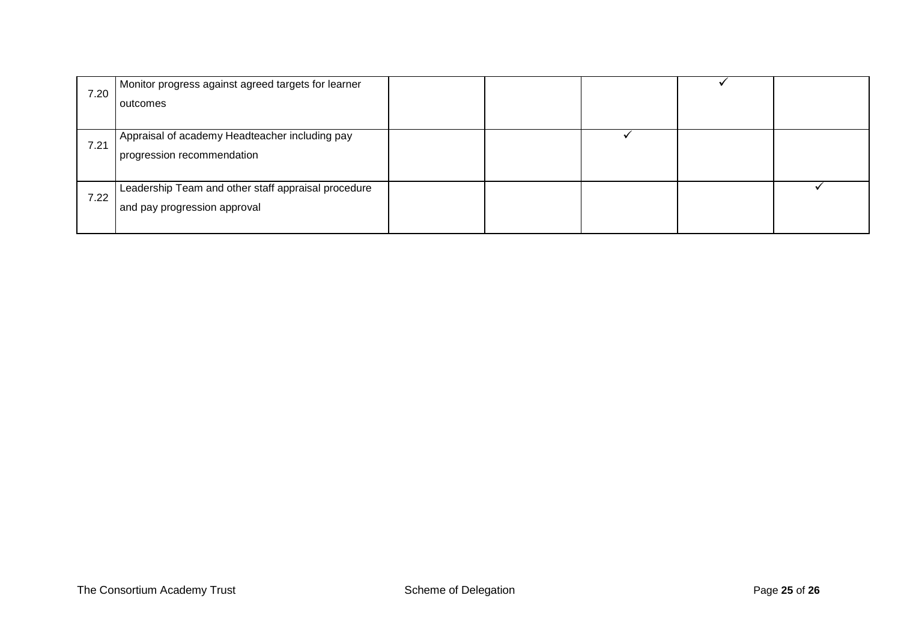| 7.20 | Monitor progress against agreed targets for learner |  |  |  |
|------|-----------------------------------------------------|--|--|--|
|      | outcomes                                            |  |  |  |
|      |                                                     |  |  |  |
| 7.21 | Appraisal of academy Headteacher including pay      |  |  |  |
|      | progression recommendation                          |  |  |  |
|      |                                                     |  |  |  |
| 7.22 | Leadership Team and other staff appraisal procedure |  |  |  |
|      | and pay progression approval                        |  |  |  |
|      |                                                     |  |  |  |